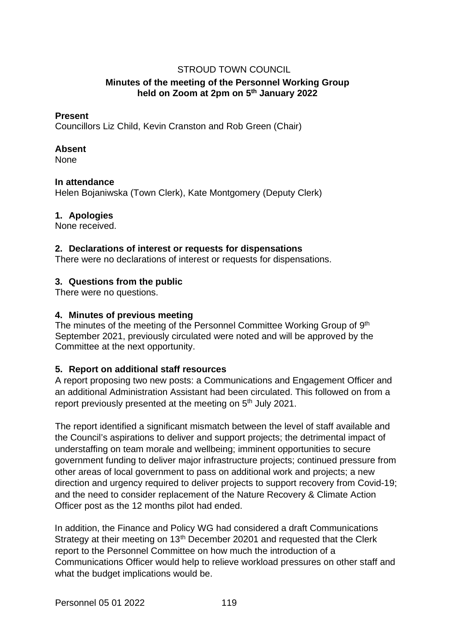# STROUD TOWN COUNCIL

# **Minutes of the meeting of the Personnel Working Group held on Zoom at 2pm on 5th January 2022**

### **Present**

Councillors Liz Child, Kevin Cranston and Rob Green (Chair)

### **Absent**

None

## **In attendance**

Helen Bojaniwska (Town Clerk), Kate Montgomery (Deputy Clerk)

## **1. Apologies**

None received.

### **2. Declarations of interest or requests for dispensations**

There were no declarations of interest or requests for dispensations.

# **3. Questions from the public**

There were no questions.

## **4. Minutes of previous meeting**

The minutes of the meeting of the Personnel Committee Working Group of 9<sup>th</sup> September 2021, previously circulated were noted and will be approved by the Committee at the next opportunity.

# **5. Report on additional staff resources**

A report proposing two new posts: a Communications and Engagement Officer and an additional Administration Assistant had been circulated. This followed on from a report previously presented at the meeting on 5<sup>th</sup> July 2021.

The report identified a significant mismatch between the level of staff available and the Council's aspirations to deliver and support projects; the detrimental impact of understaffing on team morale and wellbeing; imminent opportunities to secure government funding to deliver major infrastructure projects; continued pressure from other areas of local government to pass on additional work and projects; a new direction and urgency required to deliver projects to support recovery from Covid-19; and the need to consider replacement of the Nature Recovery & Climate Action Officer post as the 12 months pilot had ended.

In addition, the Finance and Policy WG had considered a draft Communications Strategy at their meeting on 13<sup>th</sup> December 20201 and requested that the Clerk report to the Personnel Committee on how much the introduction of a Communications Officer would help to relieve workload pressures on other staff and what the budget implications would be.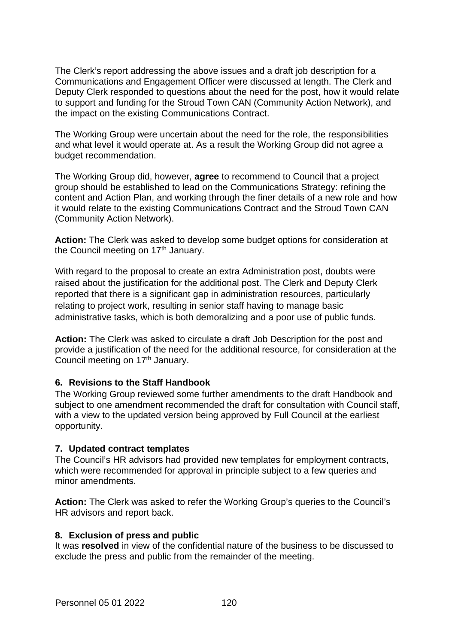The Clerk's report addressing the above issues and a draft job description for a Communications and Engagement Officer were discussed at length. The Clerk and Deputy Clerk responded to questions about the need for the post, how it would relate to support and funding for the Stroud Town CAN (Community Action Network), and the impact on the existing Communications Contract.

The Working Group were uncertain about the need for the role, the responsibilities and what level it would operate at. As a result the Working Group did not agree a budget recommendation.

The Working Group did, however, **agree** to recommend to Council that a project group should be established to lead on the Communications Strategy: refining the content and Action Plan, and working through the finer details of a new role and how it would relate to the existing Communications Contract and the Stroud Town CAN (Community Action Network).

**Action:** The Clerk was asked to develop some budget options for consideration at the Council meeting on 17<sup>th</sup> January.

With regard to the proposal to create an extra Administration post, doubts were raised about the justification for the additional post. The Clerk and Deputy Clerk reported that there is a significant gap in administration resources, particularly relating to project work, resulting in senior staff having to manage basic administrative tasks, which is both demoralizing and a poor use of public funds.

**Action:** The Clerk was asked to circulate a draft Job Description for the post and provide a justification of the need for the additional resource, for consideration at the Council meeting on 17<sup>th</sup> January.

# **6. Revisions to the Staff Handbook**

The Working Group reviewed some further amendments to the draft Handbook and subject to one amendment recommended the draft for consultation with Council staff, with a view to the updated version being approved by Full Council at the earliest opportunity.

### **7. Updated contract templates**

The Council's HR advisors had provided new templates for employment contracts, which were recommended for approval in principle subject to a few queries and minor amendments.

**Action:** The Clerk was asked to refer the Working Group's queries to the Council's HR advisors and report back.

### **8. Exclusion of press and public**

It was **resolved** in view of the confidential nature of the business to be discussed to exclude the press and public from the remainder of the meeting.